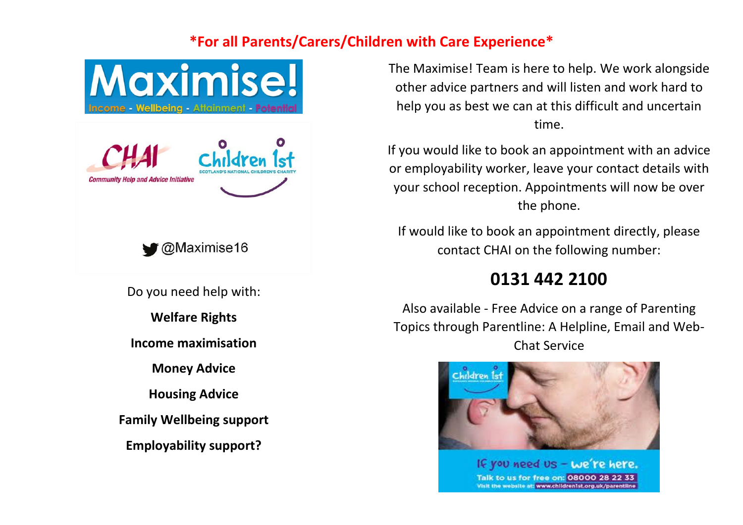## **\*For all Parents/Carers/Children with Care Experience\***



The Maximise! Team is here to help. We work alongside other advice partners and will listen and work hard to help you as best we can at this difficult and uncertain time.

If you would like to book an appointment with an advice or employability worker, leave your contact details with your school reception. Appointments will now be over the phone.

If would like to book an appointment directly, please contact CHAI on the following number:

## **0131 442 2100**

Also available - Free Advice on a range of Parenting Topics through Parentline: A Helpline, Email and Web-Chat Service



If you need us - we're here. Talk to us for free on: 08000 28 22 33 Visit the website at: www.children1st.org.uk/parentline